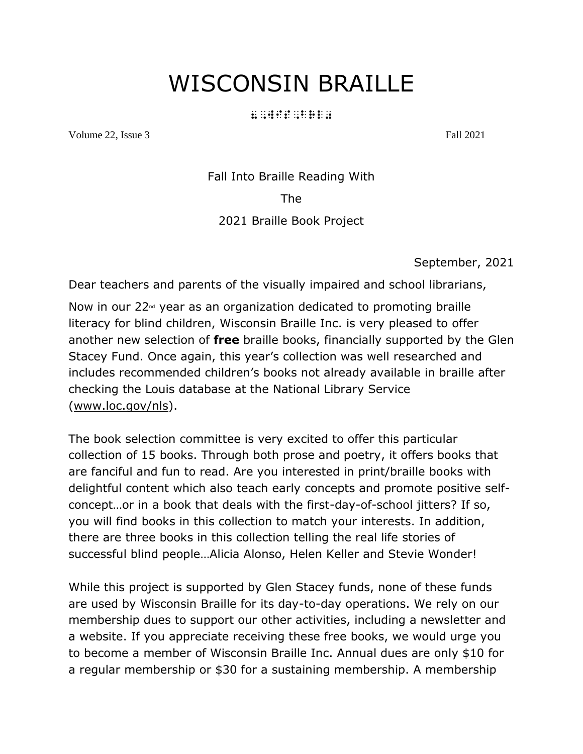## WISCONSIN BRAILLE

#### 8, wis, britanic and an article<br>8, wis, britanic and article<br>8, wis, britanic and article

Volume 22, Issue 3 Fall 2021

Fall Into Braille Reading With

The

#### 2021 Braille Book Project

September, 2021

Dear teachers and parents of the visually impaired and school librarians,

Now in our  $22<sup>nd</sup>$  year as an organization dedicated to promoting braille literacy for blind children, Wisconsin Braille Inc. is very pleased to offer another new selection of **free** braille books, financially supported by the Glen Stacey Fund. Once again, this year's collection was well researched and includes recommended children's books not already available in braille after checking the Louis database at the National Library Service [\(www.loc.gov/nls\)](http://www.loc.gov/nls).

The book selection committee is very excited to offer this particular collection of 15 books. Through both prose and poetry, it offers books that are fanciful and fun to read. Are you interested in print/braille books with delightful content which also teach early concepts and promote positive selfconcept…or in a book that deals with the first-day-of-school jitters? If so, you will find books in this collection to match your interests. In addition, there are three books in this collection telling the real life stories of successful blind people…Alicia Alonso, Helen Keller and Stevie Wonder!

While this project is supported by Glen Stacey funds, none of these funds are used by Wisconsin Braille for its day-to-day operations. We rely on our membership dues to support our other activities, including a newsletter and a website. If you appreciate receiving these free books, we would urge you to become a member of Wisconsin Braille Inc. Annual dues are only \$10 for a regular membership or \$30 for a sustaining membership. A membership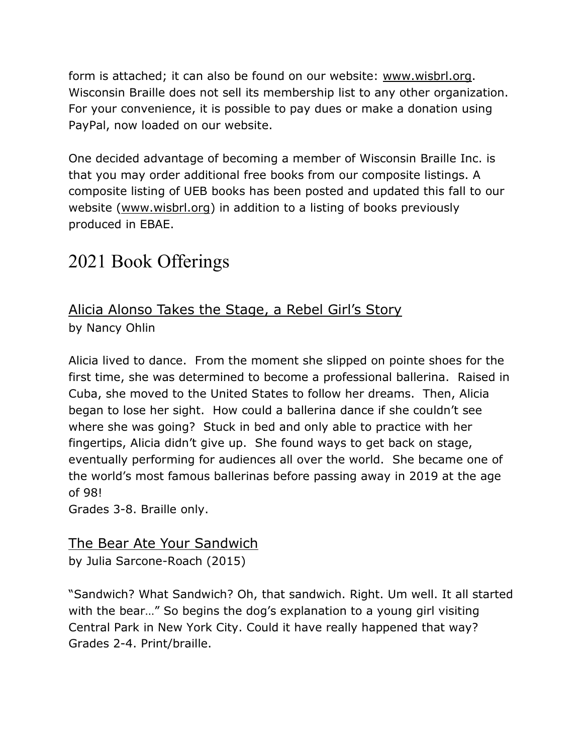form is attached; it can also be found on our website: [www.wisbrl.org.](http://www.wisbrl.org/) Wisconsin Braille does not sell its membership list to any other organization. For your convenience, it is possible to pay dues or make a donation using PayPal, now loaded on our website.

One decided advantage of becoming a member of Wisconsin Braille Inc. is that you may order additional free books from our composite listings. A composite listing of UEB books has been posted and updated this fall to our website [\(www.wisbrl.org\)](http://www.wisbrl.org/) in addition to a listing of books previously produced in EBAE.

## 2021 Book Offerings

#### Alicia Alonso Takes the Stage, a Rebel Girl's Story by Nancy Ohlin

Alicia lived to dance. From the moment she slipped on pointe shoes for the first time, she was determined to become a professional ballerina. Raised in Cuba, she moved to the United States to follow her dreams. Then, Alicia began to lose her sight. How could a ballerina dance if she couldn't see where she was going? Stuck in bed and only able to practice with her fingertips, Alicia didn't give up. She found ways to get back on stage, eventually performing for audiences all over the world. She became one of the world's most famous ballerinas before passing away in 2019 at the age of 98!

Grades 3-8. Braille only.

#### The Bear Ate Your Sandwich

by Julia Sarcone-Roach (2015)

"Sandwich? What Sandwich? Oh, that sandwich. Right. Um well. It all started with the bear…" So begins the dog's explanation to a young girl visiting Central Park in New York City. Could it have really happened that way? Grades 2-4. Print/braille.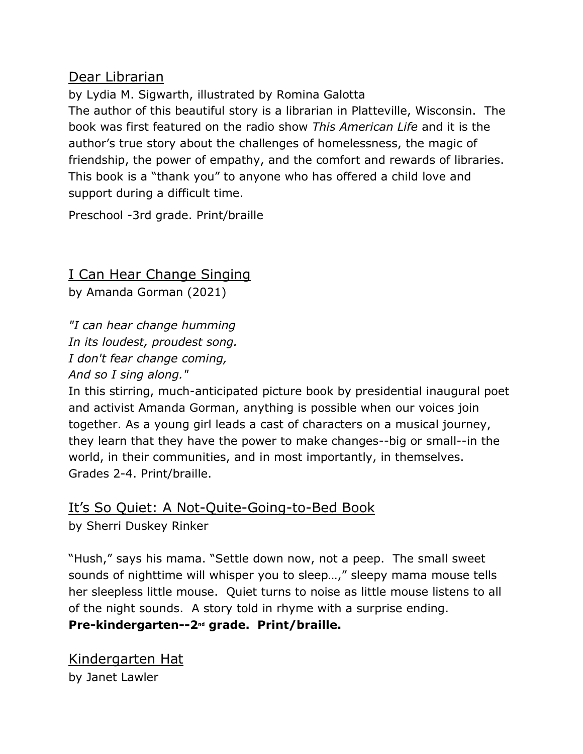#### Dear Librarian

by Lydia M. Sigwarth, illustrated by Romina Galotta The author of this beautiful story is a librarian in Platteville, Wisconsin. The book was first featured on the radio show *This American Life* and it is the author's true story about the challenges of homelessness, the magic of friendship, the power of empathy, and the comfort and rewards of libraries. This book is a "thank you" to anyone who has offered a child love and support during a difficult time.

Preschool -3rd grade. Print/braille

### I Can Hear Change Singing

by Amanda Gorman (2021)

*"I can hear change humming In its loudest, proudest song. I don't fear change coming,*

*And so I sing along."*

In this stirring, much-anticipated picture book by presidential inaugural poet and activist Amanda Gorman, anything is possible when our voices join together. As a young girl leads a cast of characters on a musical journey, they learn that they have the power to make changes--big or small--in the world, in their communities, and in most importantly, in themselves. Grades 2-4. Print/braille.

#### It's So Quiet: A Not-Quite-Going-to-Bed Book

by Sherri Duskey Rinker

"Hush," says his mama. "Settle down now, not a peep. The small sweet sounds of nighttime will whisper you to sleep...," sleepy mama mouse tells her sleepless little mouse. Quiet turns to noise as little mouse listens to all of the night sounds. A story told in rhyme with a surprise ending.

#### **Pre-kindergarten--2nd grade. Print/braille.**

Kindergarten Hat by Janet Lawler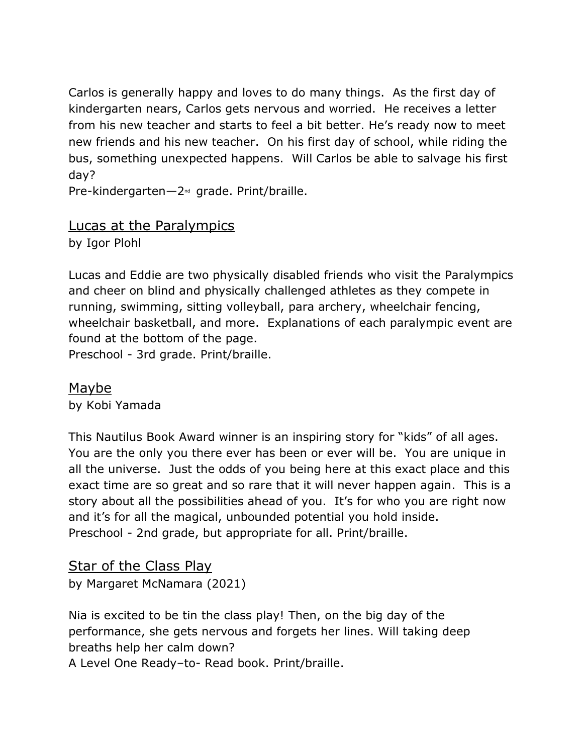Carlos is generally happy and loves to do many things. As the first day of kindergarten nears, Carlos gets nervous and worried. He receives a letter from his new teacher and starts to feel a bit better. He's ready now to meet new friends and his new teacher. On his first day of school, while riding the bus, something unexpected happens. Will Carlos be able to salvage his first day?

Pre-kindergarten—2<sup>nd</sup> grade. Print/braille.

#### Lucas at the Paralympics

by Igor Plohl

Lucas and Eddie are two physically disabled friends who visit the Paralympics and cheer on blind and physically challenged athletes as they compete in running, swimming, sitting volleyball, para archery, wheelchair fencing, wheelchair basketball, and more. Explanations of each paralympic event are found at the bottom of the page.

Preschool - 3rd grade. Print/braille.

Maybe by Kobi Yamada

This Nautilus Book Award winner is an inspiring story for "kids" of all ages. You are the only you there ever has been or ever will be. You are unique in all the universe. Just the odds of you being here at this exact place and this exact time are so great and so rare that it will never happen again. This is a story about all the possibilities ahead of you. It's for who you are right now and it's for all the magical, unbounded potential you hold inside. Preschool - 2nd grade, but appropriate for all. Print/braille.

Star of the Class Play by Margaret McNamara (2021)

Nia is excited to be tin the class play! Then, on the big day of the performance, she gets nervous and forgets her lines. Will taking deep breaths help her calm down? A Level One Ready–to- Read book. Print/braille.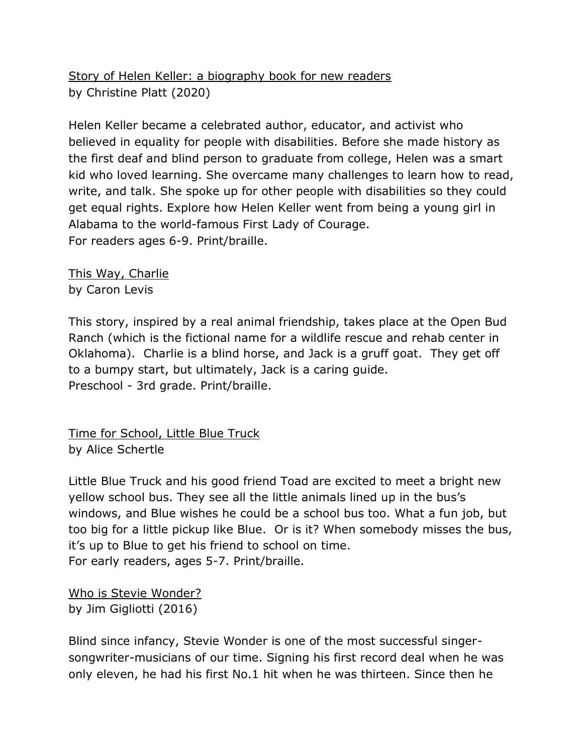Story of Helen Keller: a biography book for new readers by Christine Platt (2020)

Helen Keller became a celebrated author, educator, and activist who believed in equality for people with disabilities. Before she made history as the first deaf and blind person to graduate from college, Helen was a smart kid who loved learning. She overcame many challenges to learn how to read, write, and talk. She spoke up for other people with disabilities so they could get equal rights. Explore how Helen Keller went from being a young girl in Alabama to the world-famous First Lady of Courage. For readers ages 6-9. Print/braille.

This Way, Charlie by Caron Levis

This story, inspired by a real animal friendship, takes place at the Open Bud Ranch (which is the fictional name for a wildlife rescue and rehab center in Oklahoma). Charlie is a blind horse, and Jack is a gruff goat. They get off to a bumpy start, but ultimately, Jack is a caring guide. Preschool - 3rd grade. Print/braille.

Time for School, Little Blue Truck by Alice Schertle

Little Blue Truck and his good friend Toad are excited to meet a bright new yellow school bus. They see all the little animals lined up in the bus's windows, and Blue wishes he could be a school bus too. What a fun job, but too big for a little pickup like Blue. Or is it? When somebody misses the bus, it's up to Blue to get his friend to school on time. For early readers, ages 5-7. Print/braille.

Who is Stevie Wonder? by Jim Gigliotti (2016)

Blind since infancy, Stevie Wonder is one of the most successful singersongwriter-musicians of our time. Signing his first record deal when he was only eleven, he had his first No.1 hit when he was thirteen. Since then he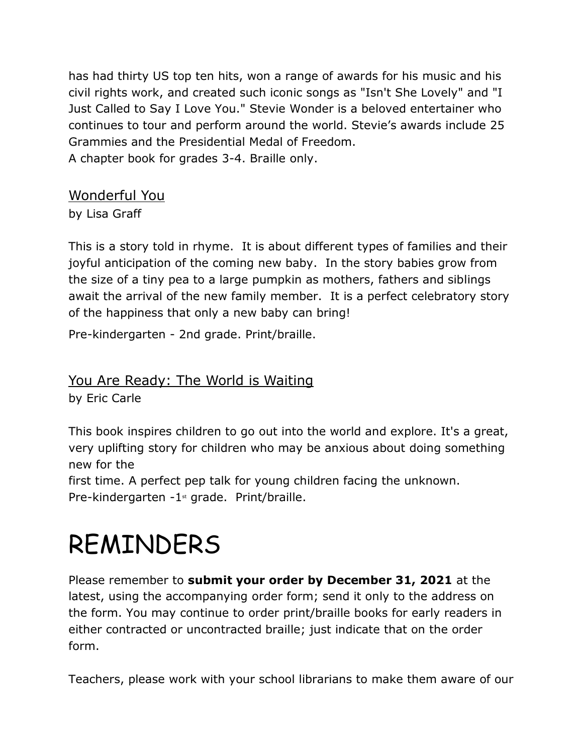has had thirty US top ten hits, won a range of awards for his music and his civil rights work, and created such iconic songs as "Isn't She Lovely" and "I Just Called to Say I Love You." Stevie Wonder is a beloved entertainer who continues to tour and perform around the world. Stevie's awards include 25 Grammies and the Presidential Medal of Freedom. A chapter book for grades 3-4. Braille only.

#### Wonderful You

by Lisa Graff

This is a story told in rhyme. It is about different types of families and their joyful anticipation of the coming new baby. In the story babies grow from the size of a tiny pea to a large pumpkin as mothers, fathers and siblings await the arrival of the new family member. It is a perfect celebratory story of the happiness that only a new baby can bring!

Pre-kindergarten - 2nd grade. Print/braille.

#### You Are Ready: The World is Waiting

by Eric Carle

This book inspires children to go out into the world and explore. It's a great, very uplifting story for children who may be anxious about doing something new for the

first time. A perfect pep talk for young children facing the unknown. Pre-kindergarten -1<sup>st</sup> grade. Print/braille.

# REMINDERS

Please remember to **submit your order by December 31, 2021** at the latest, using the accompanying order form; send it only to the address on the form. You may continue to order print/braille books for early readers in either contracted or uncontracted braille; just indicate that on the order form.

Teachers, please work with your school librarians to make them aware of our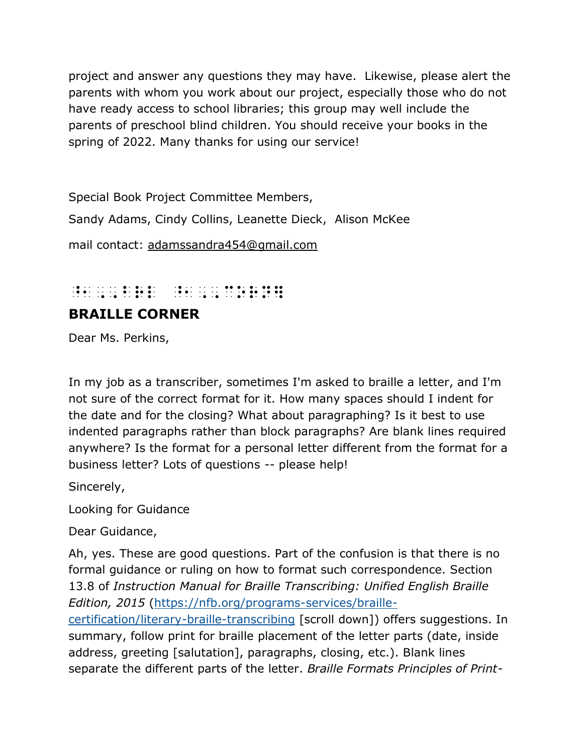project and answer any questions they may have. Likewise, please alert the parents with whom you work about our project, especially those who do not have ready access to school libraries; this group may well include the parents of preschool blind children. You should receive your books in the spring of 2022. Many thanks for using our service!

Special Book Project Committee Members,

Sandy Adams, Cindy Collins, Leanette Dieck, Alison McKee

mail contact: [adamssandra454@gmail.com](mailto:adamssandra454@gmail.com)

## ^1,, Brl ^1,, corn]

#### **BRAILLE CORNER**

Dear Ms. Perkins,

In my job as a transcriber, sometimes I'm asked to braille a letter, and I'm not sure of the correct format for it. How many spaces should I indent for the date and for the closing? What about paragraphing? Is it best to use indented paragraphs rather than block paragraphs? Are blank lines required anywhere? Is the format for a personal letter different from the format for a business letter? Lots of questions -- please help!

Sincerely,

Looking for Guidance

Dear Guidance,

Ah, yes. These are good questions. Part of the confusion is that there is no formal guidance or ruling on how to format such correspondence. Section 13.8 of *Instruction Manual for Braille Transcribing: Unified English Braille Edition, 2015* [\(https://nfb.org/programs-services/braille](https://nfb.org/programs-services/braille-certification/literary-braille-transcribing)[certification/literary-braille-transcribing](https://nfb.org/programs-services/braille-certification/literary-braille-transcribing) [scroll down]) offers suggestions. In summary, follow print for braille placement of the letter parts (date, inside address, greeting [salutation], paragraphs, closing, etc.). Blank lines separate the different parts of the letter. *Braille Formats Principles of Print-*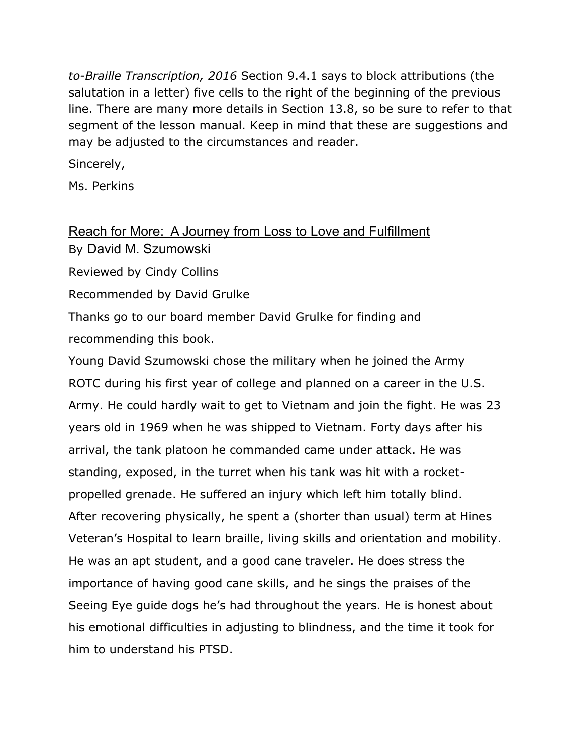*to-Braille Transcription, 2016* Section 9.4.1 says to block attributions (the salutation in a letter) five cells to the right of the beginning of the previous line. There are many more details in Section 13.8, so be sure to refer to that segment of the lesson manual. Keep in mind that these are suggestions and may be adjusted to the circumstances and reader.

Sincerely,

Ms. Perkins

#### Reach for More: A Journey from Loss to Love and Fulfillment By David M. Szumowski

Reviewed by Cindy Collins

Recommended by David Grulke

Thanks go to our board member David Grulke for finding and recommending this book.

Young David Szumowski chose the military when he joined the Army ROTC during his first year of college and planned on a career in the U.S. Army. He could hardly wait to get to Vietnam and join the fight. He was 23 years old in 1969 when he was shipped to Vietnam. Forty days after his arrival, the tank platoon he commanded came under attack. He was standing, exposed, in the turret when his tank was hit with a rocketpropelled grenade. He suffered an injury which left him totally blind. After recovering physically, he spent a (shorter than usual) term at Hines Veteran's Hospital to learn braille, living skills and orientation and mobility. He was an apt student, and a good cane traveler. He does stress the importance of having good cane skills, and he sings the praises of the Seeing Eye guide dogs he's had throughout the years. He is honest about his emotional difficulties in adjusting to blindness, and the time it took for him to understand his PTSD.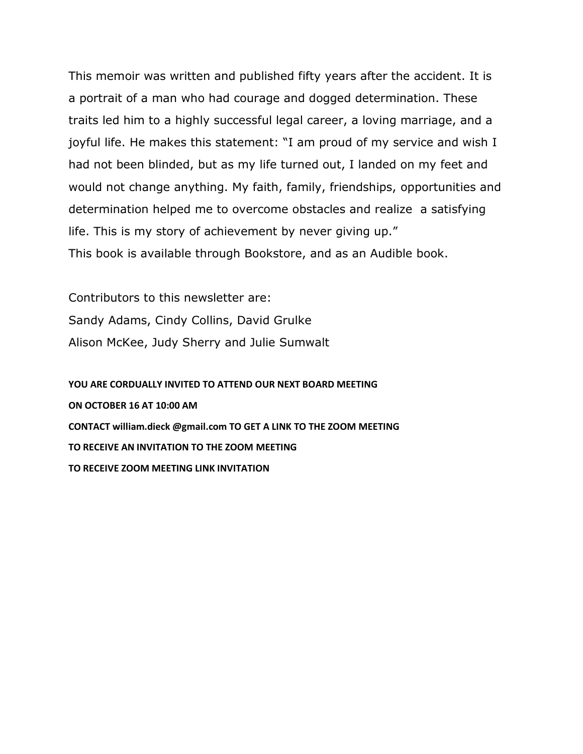This memoir was written and published fifty years after the accident. It is a portrait of a man who had courage and dogged determination. These traits led him to a highly successful legal career, a loving marriage, and a joyful life. He makes this statement: "I am proud of my service and wish I had not been blinded, but as my life turned out, I landed on my feet and would not change anything. My faith, family, friendships, opportunities and determination helped me to overcome obstacles and realize a satisfying life. This is my story of achievement by never giving up." This book is available through Bookstore, and as an Audible book.

Contributors to this newsletter are: Sandy Adams, Cindy Collins, David Grulke Alison McKee, Judy Sherry and Julie Sumwalt

**YOU ARE CORDUALLY INVITED TO ATTEND OUR NEXT BOARD MEETING ON OCTOBER 16 AT 10:00 AM CONTACT william.dieck @gmail.com TO GET A LINK TO THE ZOOM MEETING TO RECEIVE AN INVITATION TO THE ZOOM MEETING TO RECEIVE ZOOM MEETING LINK INVITATION**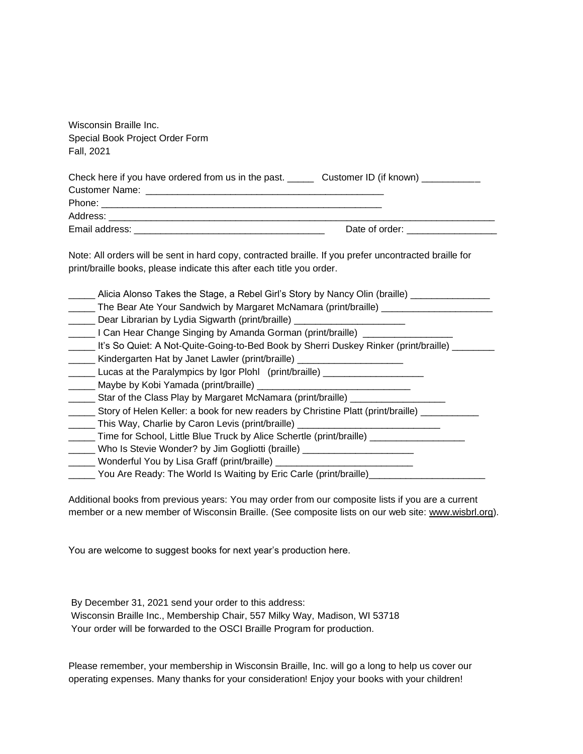| Check here if you have ordered from us in the past. _______ Customer ID (if known) ___________<br>Note: All orders will be sent in hard copy, contracted braille. If you prefer uncontracted braille for<br>print/braille books, please indicate this after each title you order.<br>_____ Alicia Alonso Takes the Stage, a Rebel Girl's Story by Nancy Olin (braille) ______________<br>_____ The Bear Ate Your Sandwich by Margaret McNamara (print/braille) _____________________________<br>Dear Librarian by Lydia Sigwarth (print/braille) _______________________________<br>Lacker Change Singing by Amanda Gorman (print/braille) _________________________<br>_____ It's So Quiet: A Not-Quite-Going-to-Bed Book by Sherri Duskey Rinker (print/braille) ______<br>Kindergarten Hat by Janet Lawler (print/braille) _______________________________<br>Lucas at the Paralympics by Igor Plohl (print/braille) ___________________<br>______ Star of the Class Play by Margaret McNamara (print/braille) ___________________<br>______ Story of Helen Keller: a book for new readers by Christine Platt (print/braille) _________ | Wisconsin Braille Inc.          |                                   |
|--------------------------------------------------------------------------------------------------------------------------------------------------------------------------------------------------------------------------------------------------------------------------------------------------------------------------------------------------------------------------------------------------------------------------------------------------------------------------------------------------------------------------------------------------------------------------------------------------------------------------------------------------------------------------------------------------------------------------------------------------------------------------------------------------------------------------------------------------------------------------------------------------------------------------------------------------------------------------------------------------------------------------------------------------------------------------------------------------------------------------------------------|---------------------------------|-----------------------------------|
|                                                                                                                                                                                                                                                                                                                                                                                                                                                                                                                                                                                                                                                                                                                                                                                                                                                                                                                                                                                                                                                                                                                                            | Special Book Project Order Form |                                   |
|                                                                                                                                                                                                                                                                                                                                                                                                                                                                                                                                                                                                                                                                                                                                                                                                                                                                                                                                                                                                                                                                                                                                            | Fall, 2021                      |                                   |
|                                                                                                                                                                                                                                                                                                                                                                                                                                                                                                                                                                                                                                                                                                                                                                                                                                                                                                                                                                                                                                                                                                                                            |                                 |                                   |
|                                                                                                                                                                                                                                                                                                                                                                                                                                                                                                                                                                                                                                                                                                                                                                                                                                                                                                                                                                                                                                                                                                                                            |                                 |                                   |
|                                                                                                                                                                                                                                                                                                                                                                                                                                                                                                                                                                                                                                                                                                                                                                                                                                                                                                                                                                                                                                                                                                                                            |                                 |                                   |
|                                                                                                                                                                                                                                                                                                                                                                                                                                                                                                                                                                                                                                                                                                                                                                                                                                                                                                                                                                                                                                                                                                                                            |                                 |                                   |
|                                                                                                                                                                                                                                                                                                                                                                                                                                                                                                                                                                                                                                                                                                                                                                                                                                                                                                                                                                                                                                                                                                                                            |                                 |                                   |
|                                                                                                                                                                                                                                                                                                                                                                                                                                                                                                                                                                                                                                                                                                                                                                                                                                                                                                                                                                                                                                                                                                                                            |                                 | Date of order: __________________ |
|                                                                                                                                                                                                                                                                                                                                                                                                                                                                                                                                                                                                                                                                                                                                                                                                                                                                                                                                                                                                                                                                                                                                            |                                 |                                   |
|                                                                                                                                                                                                                                                                                                                                                                                                                                                                                                                                                                                                                                                                                                                                                                                                                                                                                                                                                                                                                                                                                                                                            |                                 |                                   |
|                                                                                                                                                                                                                                                                                                                                                                                                                                                                                                                                                                                                                                                                                                                                                                                                                                                                                                                                                                                                                                                                                                                                            |                                 |                                   |
|                                                                                                                                                                                                                                                                                                                                                                                                                                                                                                                                                                                                                                                                                                                                                                                                                                                                                                                                                                                                                                                                                                                                            |                                 |                                   |
|                                                                                                                                                                                                                                                                                                                                                                                                                                                                                                                                                                                                                                                                                                                                                                                                                                                                                                                                                                                                                                                                                                                                            |                                 |                                   |
|                                                                                                                                                                                                                                                                                                                                                                                                                                                                                                                                                                                                                                                                                                                                                                                                                                                                                                                                                                                                                                                                                                                                            |                                 |                                   |
|                                                                                                                                                                                                                                                                                                                                                                                                                                                                                                                                                                                                                                                                                                                                                                                                                                                                                                                                                                                                                                                                                                                                            |                                 |                                   |
| ______ This Way, Charlie by Caron Levis (print/braille) ________________________                                                                                                                                                                                                                                                                                                                                                                                                                                                                                                                                                                                                                                                                                                                                                                                                                                                                                                                                                                                                                                                           |                                 |                                   |
| ______ Time for School, Little Blue Truck by Alice Schertle (print/braille) _______________________                                                                                                                                                                                                                                                                                                                                                                                                                                                                                                                                                                                                                                                                                                                                                                                                                                                                                                                                                                                                                                        |                                 |                                   |
| _____ Who Is Stevie Wonder? by Jim Gogliotti (braille) ________________________                                                                                                                                                                                                                                                                                                                                                                                                                                                                                                                                                                                                                                                                                                                                                                                                                                                                                                                                                                                                                                                            |                                 |                                   |
| _____ Wonderful You by Lisa Graff (print/braille) ______________________________                                                                                                                                                                                                                                                                                                                                                                                                                                                                                                                                                                                                                                                                                                                                                                                                                                                                                                                                                                                                                                                           |                                 |                                   |
| _____ You Are Ready: The World Is Waiting by Eric Carle (print/braille)_________                                                                                                                                                                                                                                                                                                                                                                                                                                                                                                                                                                                                                                                                                                                                                                                                                                                                                                                                                                                                                                                           |                                 |                                   |

Additional books from previous years: You may order from our composite lists if you are a current member or a new member of Wisconsin Braille. (See composite lists on our web site: [www.wisbrl.org\)](http://www.wisbrl.org/).

You are welcome to suggest books for next year's production here.

By December 31, 2021 send your order to this address: Wisconsin Braille Inc., Membership Chair, 557 Milky Way, Madison, WI 53718 Your order will be forwarded to the OSCI Braille Program for production.

Please remember, your membership in Wisconsin Braille, Inc. will go a long to help us cover our operating expenses. Many thanks for your consideration! Enjoy your books with your children!